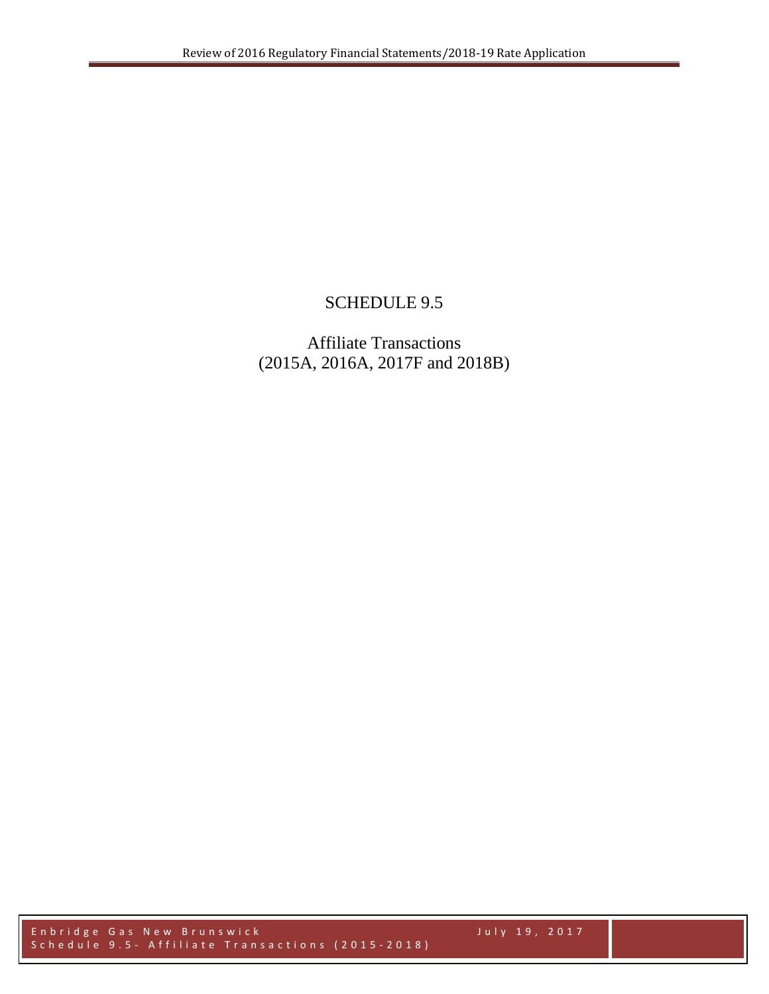## SCHEDULE 9.5

## Affiliate Transactions (2015A, 2016A, 2017F and 2018B)